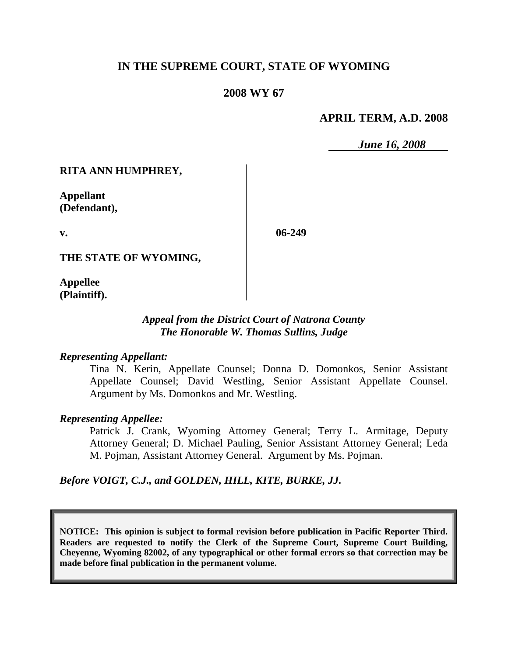## **IN THE SUPREME COURT, STATE OF WYOMING**

### **2008 WY 67**

#### **APRIL TERM, A.D. 2008**

*June 16, 2008*

**RITA ANN HUMPHREY,**

**Appellant (Defendant),**

**v.**

**06-249**

**THE STATE OF WYOMING,**

**Appellee (Plaintiff).**

#### *Appeal from the District Court of Natrona County The Honorable W. Thomas Sullins, Judge*

#### *Representing Appellant:*

Tina N. Kerin, Appellate Counsel; Donna D. Domonkos, Senior Assistant Appellate Counsel; David Westling, Senior Assistant Appellate Counsel. Argument by Ms. Domonkos and Mr. Westling.

#### *Representing Appellee:*

Patrick J. Crank, Wyoming Attorney General; Terry L. Armitage, Deputy Attorney General; D. Michael Pauling, Senior Assistant Attorney General; Leda M. Pojman, Assistant Attorney General. Argument by Ms. Pojman.

#### *Before VOIGT, C.J., and GOLDEN, HILL, KITE, BURKE, JJ.*

**NOTICE: This opinion is subject to formal revision before publication in Pacific Reporter Third. Readers are requested to notify the Clerk of the Supreme Court, Supreme Court Building, Cheyenne, Wyoming 82002, of any typographical or other formal errors so that correction may be made before final publication in the permanent volume.**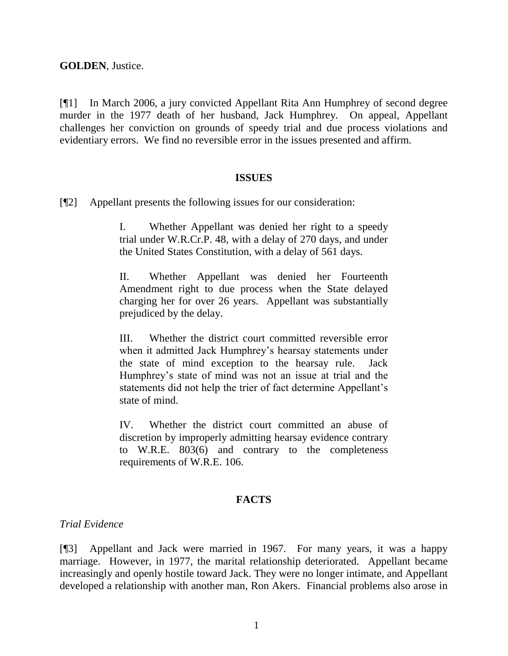**GOLDEN**, Justice.

[¶1] In March 2006, a jury convicted Appellant Rita Ann Humphrey of second degree murder in the 1977 death of her husband, Jack Humphrey. On appeal, Appellant challenges her conviction on grounds of speedy trial and due process violations and evidentiary errors. We find no reversible error in the issues presented and affirm.

#### **ISSUES**

[¶2] Appellant presents the following issues for our consideration:

I. Whether Appellant was denied her right to a speedy trial under W.R.Cr.P. 48, with a delay of 270 days, and under the United States Constitution, with a delay of 561 days.

II. Whether Appellant was denied her Fourteenth Amendment right to due process when the State delayed charging her for over 26 years. Appellant was substantially prejudiced by the delay.

III. Whether the district court committed reversible error when it admitted Jack Humphrey"s hearsay statements under the state of mind exception to the hearsay rule. Jack Humphrey"s state of mind was not an issue at trial and the statements did not help the trier of fact determine Appellant"s state of mind.

IV. Whether the district court committed an abuse of discretion by improperly admitting hearsay evidence contrary to W.R.E. 803(6) and contrary to the completeness requirements of W.R.E. 106.

## **FACTS**

#### *Trial Evidence*

[¶3] Appellant and Jack were married in 1967. For many years, it was a happy marriage. However, in 1977, the marital relationship deteriorated. Appellant became increasingly and openly hostile toward Jack. They were no longer intimate, and Appellant developed a relationship with another man, Ron Akers. Financial problems also arose in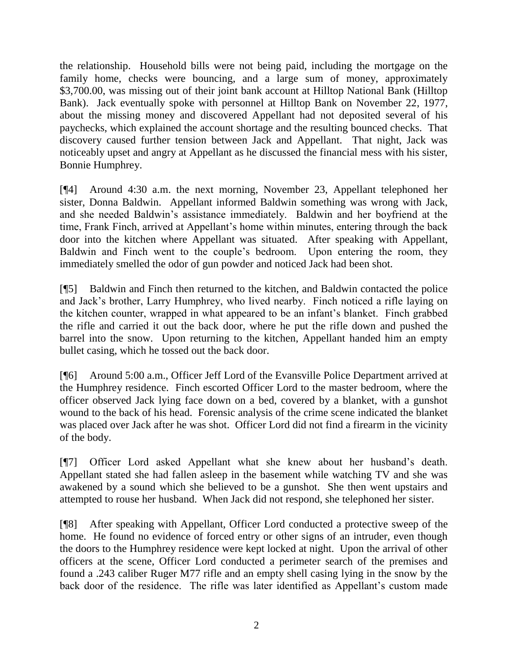the relationship. Household bills were not being paid, including the mortgage on the family home, checks were bouncing, and a large sum of money, approximately \$3,700.00, was missing out of their joint bank account at Hilltop National Bank (Hilltop Bank). Jack eventually spoke with personnel at Hilltop Bank on November 22, 1977, about the missing money and discovered Appellant had not deposited several of his paychecks, which explained the account shortage and the resulting bounced checks. That discovery caused further tension between Jack and Appellant. That night, Jack was noticeably upset and angry at Appellant as he discussed the financial mess with his sister, Bonnie Humphrey.

[¶4] Around 4:30 a.m. the next morning, November 23, Appellant telephoned her sister, Donna Baldwin. Appellant informed Baldwin something was wrong with Jack, and she needed Baldwin"s assistance immediately. Baldwin and her boyfriend at the time, Frank Finch, arrived at Appellant's home within minutes, entering through the back door into the kitchen where Appellant was situated. After speaking with Appellant, Baldwin and Finch went to the couple"s bedroom. Upon entering the room, they immediately smelled the odor of gun powder and noticed Jack had been shot.

[¶5] Baldwin and Finch then returned to the kitchen, and Baldwin contacted the police and Jack"s brother, Larry Humphrey, who lived nearby. Finch noticed a rifle laying on the kitchen counter, wrapped in what appeared to be an infant"s blanket. Finch grabbed the rifle and carried it out the back door, where he put the rifle down and pushed the barrel into the snow. Upon returning to the kitchen, Appellant handed him an empty bullet casing, which he tossed out the back door.

[¶6] Around 5:00 a.m., Officer Jeff Lord of the Evansville Police Department arrived at the Humphrey residence. Finch escorted Officer Lord to the master bedroom, where the officer observed Jack lying face down on a bed, covered by a blanket, with a gunshot wound to the back of his head. Forensic analysis of the crime scene indicated the blanket was placed over Jack after he was shot. Officer Lord did not find a firearm in the vicinity of the body.

[¶7] Officer Lord asked Appellant what she knew about her husband"s death. Appellant stated she had fallen asleep in the basement while watching TV and she was awakened by a sound which she believed to be a gunshot. She then went upstairs and attempted to rouse her husband. When Jack did not respond, she telephoned her sister.

[¶8] After speaking with Appellant, Officer Lord conducted a protective sweep of the home. He found no evidence of forced entry or other signs of an intruder, even though the doors to the Humphrey residence were kept locked at night. Upon the arrival of other officers at the scene, Officer Lord conducted a perimeter search of the premises and found a .243 caliber Ruger M77 rifle and an empty shell casing lying in the snow by the back door of the residence. The rifle was later identified as Appellant's custom made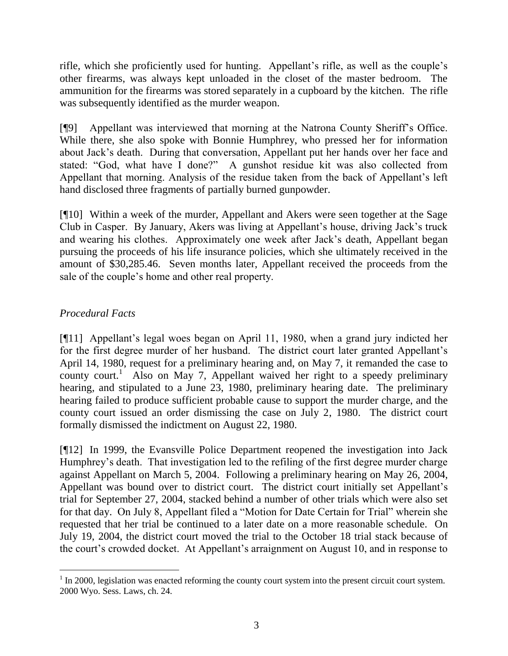rifle, which she proficiently used for hunting. Appellant's rifle, as well as the couple's other firearms, was always kept unloaded in the closet of the master bedroom. The ammunition for the firearms was stored separately in a cupboard by the kitchen. The rifle was subsequently identified as the murder weapon.

[¶9] Appellant was interviewed that morning at the Natrona County Sheriff"s Office. While there, she also spoke with Bonnie Humphrey, who pressed her for information about Jack"s death. During that conversation, Appellant put her hands over her face and stated: "God, what have I done?" A gunshot residue kit was also collected from Appellant that morning. Analysis of the residue taken from the back of Appellant"s left hand disclosed three fragments of partially burned gunpowder.

[¶10] Within a week of the murder, Appellant and Akers were seen together at the Sage Club in Casper. By January, Akers was living at Appellant"s house, driving Jack"s truck and wearing his clothes. Approximately one week after Jack"s death, Appellant began pursuing the proceeds of his life insurance policies, which she ultimately received in the amount of \$30,285.46. Seven months later, Appellant received the proceeds from the sale of the couple's home and other real property.

# *Procedural Facts*

 $\overline{a}$ 

[¶11] Appellant"s legal woes began on April 11, 1980, when a grand jury indicted her for the first degree murder of her husband. The district court later granted Appellant"s April 14, 1980, request for a preliminary hearing and, on May 7, it remanded the case to county court.<sup>1</sup> Also on May 7, Appellant waived her right to a speedy preliminary hearing, and stipulated to a June 23, 1980, preliminary hearing date. The preliminary hearing failed to produce sufficient probable cause to support the murder charge, and the county court issued an order dismissing the case on July 2, 1980. The district court formally dismissed the indictment on August 22, 1980.

[¶12] In 1999, the Evansville Police Department reopened the investigation into Jack Humphrey's death. That investigation led to the refiling of the first degree murder charge against Appellant on March 5, 2004. Following a preliminary hearing on May 26, 2004, Appellant was bound over to district court. The district court initially set Appellant"s trial for September 27, 2004, stacked behind a number of other trials which were also set for that day. On July 8, Appellant filed a "Motion for Date Certain for Trial" wherein she requested that her trial be continued to a later date on a more reasonable schedule. On July 19, 2004, the district court moved the trial to the October 18 trial stack because of the court's crowded docket. At Appellant's arraignment on August 10, and in response to

 $1$  In 2000, legislation was enacted reforming the county court system into the present circuit court system. 2000 Wyo. Sess. Laws, ch. 24.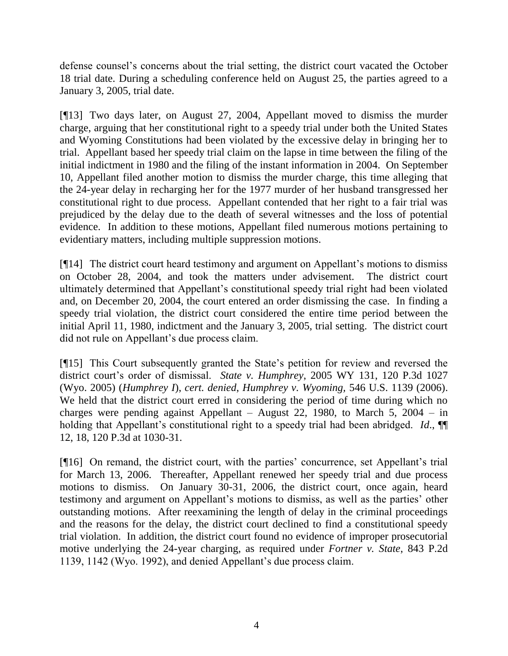defense counsel's concerns about the trial setting, the district court vacated the October 18 trial date. During a scheduling conference held on August 25, the parties agreed to a January 3, 2005, trial date.

[¶13] Two days later, on August 27, 2004, Appellant moved to dismiss the murder charge, arguing that her constitutional right to a speedy trial under both the United States and Wyoming Constitutions had been violated by the excessive delay in bringing her to trial. Appellant based her speedy trial claim on the lapse in time between the filing of the initial indictment in 1980 and the filing of the instant information in 2004. On September 10, Appellant filed another motion to dismiss the murder charge, this time alleging that the 24-year delay in recharging her for the 1977 murder of her husband transgressed her constitutional right to due process. Appellant contended that her right to a fair trial was prejudiced by the delay due to the death of several witnesses and the loss of potential evidence. In addition to these motions, Appellant filed numerous motions pertaining to evidentiary matters, including multiple suppression motions.

[¶14] The district court heard testimony and argument on Appellant"s motions to dismiss on October 28, 2004, and took the matters under advisement. The district court ultimately determined that Appellant"s constitutional speedy trial right had been violated and, on December 20, 2004, the court entered an order dismissing the case. In finding a speedy trial violation, the district court considered the entire time period between the initial April 11, 1980, indictment and the January 3, 2005, trial setting. The district court did not rule on Appellant"s due process claim.

[¶15] This Court subsequently granted the State"s petition for review and reversed the district court's order of dismissal. *State v. Humphrey*, 2005 WY 131, 120 P.3d 1027 (Wyo. 2005) (*Humphrey I*), *cert. denied*, *Humphrey v. Wyoming,* 546 U.S. 1139 (2006). We held that the district court erred in considering the period of time during which no charges were pending against Appellant – August 22, 1980, to March 5, 2004 – in holding that Appellant's constitutional right to a speedy trial had been abridged. *Id.*, ¶ 12, 18, 120 P.3d at 1030-31.

[¶16] On remand, the district court, with the parties' concurrence, set Appellant's trial for March 13, 2006. Thereafter, Appellant renewed her speedy trial and due process motions to dismiss. On January 30-31, 2006, the district court, once again, heard testimony and argument on Appellant's motions to dismiss, as well as the parties' other outstanding motions. After reexamining the length of delay in the criminal proceedings and the reasons for the delay, the district court declined to find a constitutional speedy trial violation. In addition, the district court found no evidence of improper prosecutorial motive underlying the 24-year charging, as required under *Fortner v. State*, 843 P.2d 1139, 1142 (Wyo. 1992), and denied Appellant"s due process claim.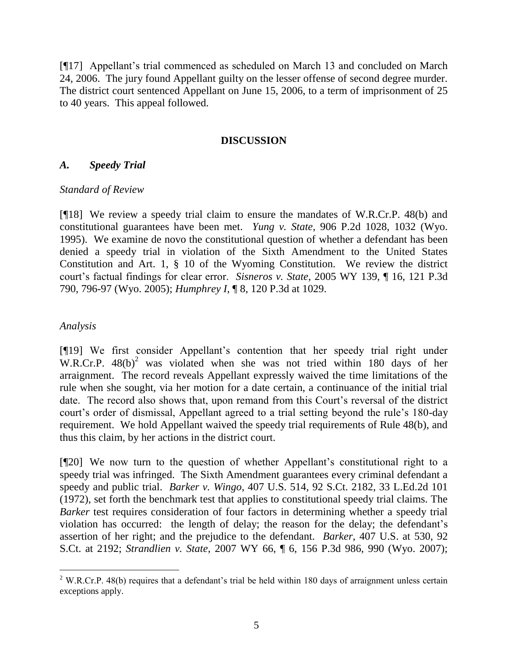[¶17] Appellant"s trial commenced as scheduled on March 13 and concluded on March 24, 2006. The jury found Appellant guilty on the lesser offense of second degree murder. The district court sentenced Appellant on June 15, 2006, to a term of imprisonment of 25 to 40 years. This appeal followed.

#### **DISCUSSION**

### *A. Speedy Trial*

### *Standard of Review*

[¶18] We review a speedy trial claim to ensure the mandates of W.R.Cr.P. 48(b) and constitutional guarantees have been met. *Yung v. State*, 906 P.2d 1028, 1032 (Wyo. 1995). We examine de novo the constitutional question of whether a defendant has been denied a speedy trial in violation of the Sixth Amendment to the United States Constitution and Art. 1, § 10 of the Wyoming Constitution. We review the district court"s factual findings for clear error. *Sisneros v. State*, 2005 WY 139, ¶ 16, 121 P.3d 790, 796-97 (Wyo. 2005); *Humphrey I*, ¶ 8, 120 P.3d at 1029.

### *Analysis*

 $\overline{a}$ 

[¶19] We first consider Appellant"s contention that her speedy trial right under W.R.Cr.P.  $48(b)^2$  was violated when she was not tried within 180 days of her arraignment. The record reveals Appellant expressly waived the time limitations of the rule when she sought, via her motion for a date certain, a continuance of the initial trial date. The record also shows that, upon remand from this Court's reversal of the district court's order of dismissal, Appellant agreed to a trial setting beyond the rule's 180-day requirement. We hold Appellant waived the speedy trial requirements of Rule 48(b), and thus this claim, by her actions in the district court.

[¶20] We now turn to the question of whether Appellant"s constitutional right to a speedy trial was infringed. The Sixth Amendment guarantees every criminal defendant a speedy and public trial. *Barker v. Wingo*, 407 U.S. 514, 92 S.Ct. 2182, 33 L.Ed.2d 101 (1972), set forth the benchmark test that applies to constitutional speedy trial claims. The *Barker* test requires consideration of four factors in determining whether a speedy trial violation has occurred: the length of delay; the reason for the delay; the defendant"s assertion of her right; and the prejudice to the defendant. *Barker*, 407 U.S. at 530, 92 S.Ct. at 2192; *Strandlien v. State*, 2007 WY 66, ¶ 6, 156 P.3d 986, 990 (Wyo. 2007);

 $2$  W.R.Cr.P. 48(b) requires that a defendant's trial be held within 180 days of arraignment unless certain exceptions apply.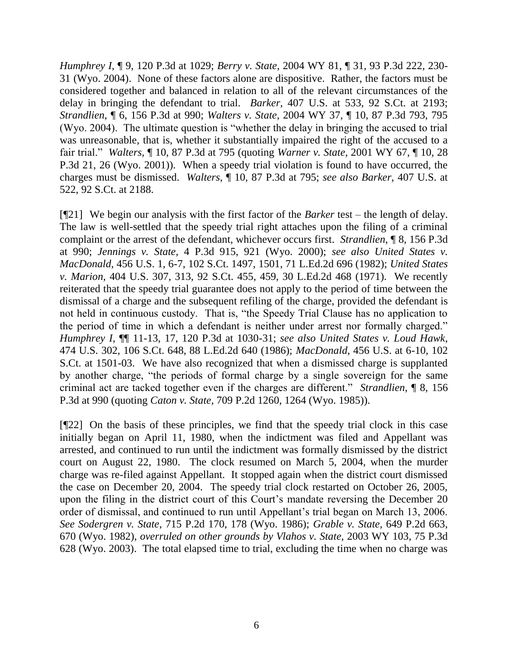*Humphrey I*, ¶ 9, 120 P.3d at 1029; *Berry v. State*, 2004 WY 81, ¶ 31, 93 P.3d 222, 230- 31 (Wyo. 2004). None of these factors alone are dispositive. Rather, the factors must be considered together and balanced in relation to all of the relevant circumstances of the delay in bringing the defendant to trial. *Barker*, 407 U.S. at 533, 92 S.Ct. at 2193; *Strandlien*, ¶ 6, 156 P.3d at 990; *Walters v. State*, 2004 WY 37, ¶ 10, 87 P.3d 793, 795 (Wyo. 2004). The ultimate question is "whether the delay in bringing the accused to trial was unreasonable, that is, whether it substantially impaired the right of the accused to a fair trial." *Walters*, ¶ 10, 87 P.3d at 795 (quoting *Warner v. State*, 2001 WY 67, ¶ 10, 28 P.3d 21, 26 (Wyo. 2001)). When a speedy trial violation is found to have occurred, the charges must be dismissed. *Walters*, ¶ 10, 87 P.3d at 795; *see also Barker*, 407 U.S. at 522, 92 S.Ct. at 2188.

[¶21] We begin our analysis with the first factor of the *Barker* test – the length of delay. The law is well-settled that the speedy trial right attaches upon the filing of a criminal complaint or the arrest of the defendant, whichever occurs first. *Strandlien*, ¶ 8, 156 P.3d at 990; *Jennings v. State*, 4 P.3d 915, 921 (Wyo. 2000); *see also United States v. MacDonald*, 456 U.S. 1, 6-7, 102 S.Ct. 1497, 1501, 71 L.Ed.2d 696 (1982); *United States v. Marion*, 404 U.S. 307, 313, 92 S.Ct. 455, 459, 30 L.Ed.2d 468 (1971). We recently reiterated that the speedy trial guarantee does not apply to the period of time between the dismissal of a charge and the subsequent refiling of the charge, provided the defendant is not held in continuous custody. That is, "the Speedy Trial Clause has no application to the period of time in which a defendant is neither under arrest nor formally charged." *Humphrey I*, ¶¶ 11-13, 17, 120 P.3d at 1030-31; *see also United States v. Loud Hawk*, 474 U.S. 302, 106 S.Ct. 648, 88 L.Ed.2d 640 (1986); *MacDonald*, 456 U.S. at 6-10, 102 S.Ct. at 1501-03. We have also recognized that when a dismissed charge is supplanted by another charge, "the periods of formal charge by a single sovereign for the same criminal act are tacked together even if the charges are different." *Strandlien*, ¶ 8, 156 P.3d at 990 (quoting *Caton v. State*, 709 P.2d 1260, 1264 (Wyo. 1985)).

[¶22] On the basis of these principles, we find that the speedy trial clock in this case initially began on April 11, 1980, when the indictment was filed and Appellant was arrested, and continued to run until the indictment was formally dismissed by the district court on August 22, 1980. The clock resumed on March 5, 2004, when the murder charge was re-filed against Appellant. It stopped again when the district court dismissed the case on December 20, 2004. The speedy trial clock restarted on October 26, 2005, upon the filing in the district court of this Court's mandate reversing the December 20 order of dismissal, and continued to run until Appellant"s trial began on March 13, 2006. *See Sodergren v. State*, 715 P.2d 170, 178 (Wyo. 1986); *Grable v. State*, 649 P.2d 663, 670 (Wyo. 1982), *overruled on other grounds by Vlahos v. State,* 2003 WY 103, 75 P.3d 628 (Wyo. 2003). The total elapsed time to trial, excluding the time when no charge was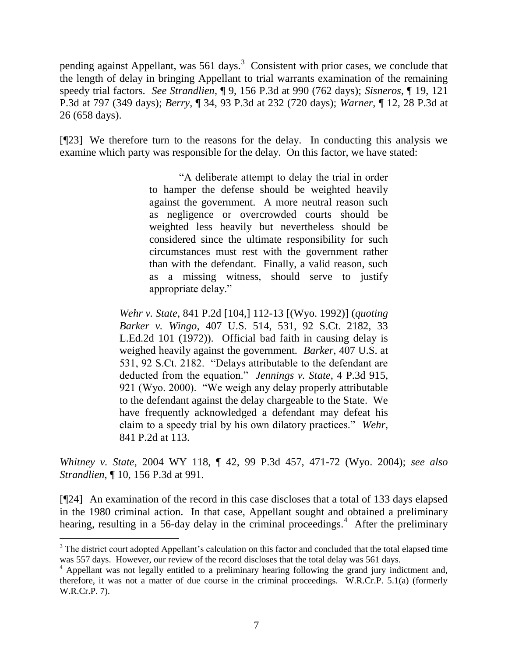pending against Appellant, was  $561$  days.<sup>3</sup> Consistent with prior cases, we conclude that the length of delay in bringing Appellant to trial warrants examination of the remaining speedy trial factors. *See Strandlien*, ¶ 9, 156 P.3d at 990 (762 days); *Sisneros*, ¶ 19, 121 P.3d at 797 (349 days); *Berry*, ¶ 34, 93 P.3d at 232 (720 days); *Warner*, ¶ 12, 28 P.3d at 26 (658 days).

[¶23] We therefore turn to the reasons for the delay. In conducting this analysis we examine which party was responsible for the delay. On this factor, we have stated:

> "A deliberate attempt to delay the trial in order to hamper the defense should be weighted heavily against the government. A more neutral reason such as negligence or overcrowded courts should be weighted less heavily but nevertheless should be considered since the ultimate responsibility for such circumstances must rest with the government rather than with the defendant. Finally, a valid reason, such as a missing witness, should serve to justify appropriate delay."

*Wehr v. State*, 841 P.2d [104,] 112-13 [(Wyo. 1992)] (*quoting Barker v. Wingo*, 407 U.S. 514, 531, 92 S.Ct. 2182, 33 L.Ed.2d 101 (1972)). Official bad faith in causing delay is weighed heavily against the government. *Barker*, 407 U.S. at 531, 92 S.Ct. 2182. "Delays attributable to the defendant are deducted from the equation." *Jennings v. State*, 4 P.3d 915, 921 (Wyo. 2000). "We weigh any delay properly attributable to the defendant against the delay chargeable to the State. We have frequently acknowledged a defendant may defeat his claim to a speedy trial by his own dilatory practices." *Wehr*, 841 P.2d at 113.

*Whitney v. State*, 2004 WY 118, ¶ 42, 99 P.3d 457, 471-72 (Wyo. 2004); *see also Strandlien*, ¶ 10, 156 P.3d at 991.

[¶24] An examination of the record in this case discloses that a total of 133 days elapsed in the 1980 criminal action. In that case, Appellant sought and obtained a preliminary hearing, resulting in a 56-day delay in the criminal proceedings.<sup>4</sup> After the preliminary

 $\overline{a}$ 

<sup>&</sup>lt;sup>3</sup> The district court adopted Appellant's calculation on this factor and concluded that the total elapsed time was 557 days. However, our review of the record discloses that the total delay was 561 days.

 $4$  Appellant was not legally entitled to a preliminary hearing following the grand jury indictment and, therefore, it was not a matter of due course in the criminal proceedings. W.R.Cr.P. 5.1(a) (formerly W.R.Cr.P. 7).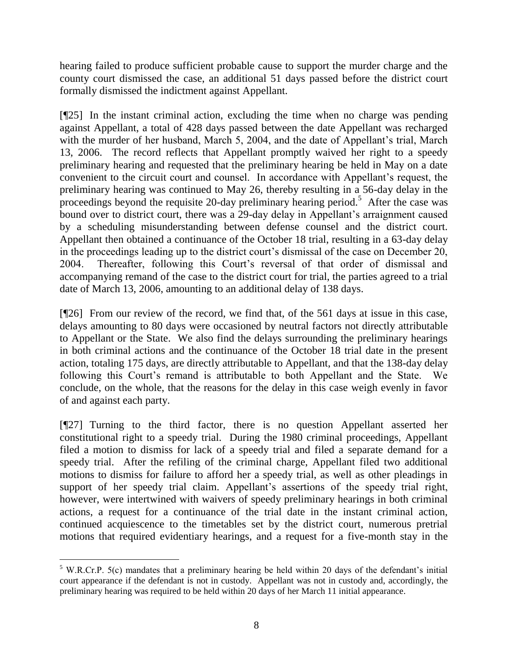hearing failed to produce sufficient probable cause to support the murder charge and the county court dismissed the case, an additional 51 days passed before the district court formally dismissed the indictment against Appellant.

[¶25] In the instant criminal action, excluding the time when no charge was pending against Appellant, a total of 428 days passed between the date Appellant was recharged with the murder of her husband, March 5, 2004, and the date of Appellant's trial, March 13, 2006. The record reflects that Appellant promptly waived her right to a speedy preliminary hearing and requested that the preliminary hearing be held in May on a date convenient to the circuit court and counsel. In accordance with Appellant's request, the preliminary hearing was continued to May 26, thereby resulting in a 56-day delay in the proceedings beyond the requisite 20-day preliminary hearing period.<sup>5</sup> After the case was bound over to district court, there was a 29-day delay in Appellant's arraignment caused by a scheduling misunderstanding between defense counsel and the district court. Appellant then obtained a continuance of the October 18 trial, resulting in a 63-day delay in the proceedings leading up to the district court's dismissal of the case on December 20, 2004. Thereafter, following this Court"s reversal of that order of dismissal and accompanying remand of the case to the district court for trial, the parties agreed to a trial date of March 13, 2006, amounting to an additional delay of 138 days.

[¶26] From our review of the record, we find that, of the 561 days at issue in this case, delays amounting to 80 days were occasioned by neutral factors not directly attributable to Appellant or the State. We also find the delays surrounding the preliminary hearings in both criminal actions and the continuance of the October 18 trial date in the present action, totaling 175 days, are directly attributable to Appellant, and that the 138-day delay following this Court"s remand is attributable to both Appellant and the State. We conclude, on the whole, that the reasons for the delay in this case weigh evenly in favor of and against each party.

[¶27] Turning to the third factor, there is no question Appellant asserted her constitutional right to a speedy trial. During the 1980 criminal proceedings, Appellant filed a motion to dismiss for lack of a speedy trial and filed a separate demand for a speedy trial. After the refiling of the criminal charge, Appellant filed two additional motions to dismiss for failure to afford her a speedy trial, as well as other pleadings in support of her speedy trial claim. Appellant's assertions of the speedy trial right, however, were intertwined with waivers of speedy preliminary hearings in both criminal actions, a request for a continuance of the trial date in the instant criminal action, continued acquiescence to the timetables set by the district court, numerous pretrial motions that required evidentiary hearings, and a request for a five-month stay in the

 $\overline{a}$  $5$  W.R.Cr.P. 5(c) mandates that a preliminary hearing be held within 20 days of the defendant's initial court appearance if the defendant is not in custody. Appellant was not in custody and, accordingly, the preliminary hearing was required to be held within 20 days of her March 11 initial appearance.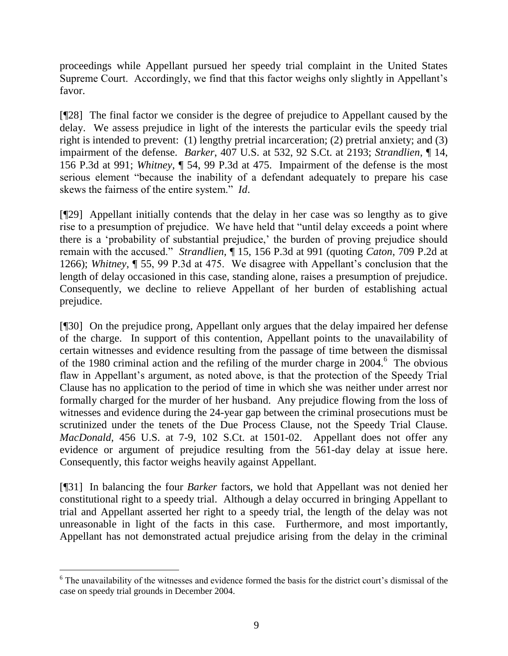proceedings while Appellant pursued her speedy trial complaint in the United States Supreme Court. Accordingly, we find that this factor weighs only slightly in Appellant's favor.

[¶28] The final factor we consider is the degree of prejudice to Appellant caused by the delay. We assess prejudice in light of the interests the particular evils the speedy trial right is intended to prevent: (1) lengthy pretrial incarceration; (2) pretrial anxiety; and (3) impairment of the defense. *Barker*, 407 U.S. at 532, 92 S.Ct. at 2193; *Strandlien*, ¶ 14, 156 P.3d at 991; *Whitney*, ¶ 54, 99 P.3d at 475. Impairment of the defense is the most serious element "because the inability of a defendant adequately to prepare his case skews the fairness of the entire system." *Id*.

[¶29] Appellant initially contends that the delay in her case was so lengthy as to give rise to a presumption of prejudice. We have held that "until delay exceeds a point where there is a 'probability of substantial prejudice,' the burden of proving prejudice should remain with the accused." *Strandlien*, ¶ 15, 156 P.3d at 991 (quoting *Caton*, 709 P.2d at 1266); *Whitney*, ¶ 55, 99 P.3d at 475. We disagree with Appellant"s conclusion that the length of delay occasioned in this case, standing alone, raises a presumption of prejudice. Consequently, we decline to relieve Appellant of her burden of establishing actual prejudice.

[¶30] On the prejudice prong, Appellant only argues that the delay impaired her defense of the charge. In support of this contention, Appellant points to the unavailability of certain witnesses and evidence resulting from the passage of time between the dismissal of the 1980 criminal action and the refiling of the murder charge in  $2004$ .<sup>6</sup> The obvious flaw in Appellant's argument, as noted above, is that the protection of the Speedy Trial Clause has no application to the period of time in which she was neither under arrest nor formally charged for the murder of her husband. Any prejudice flowing from the loss of witnesses and evidence during the 24-year gap between the criminal prosecutions must be scrutinized under the tenets of the Due Process Clause, not the Speedy Trial Clause. *MacDonald*, 456 U.S. at 7-9, 102 S.Ct. at 1501-02. Appellant does not offer any evidence or argument of prejudice resulting from the 561-day delay at issue here. Consequently, this factor weighs heavily against Appellant.

[¶31] In balancing the four *Barker* factors, we hold that Appellant was not denied her constitutional right to a speedy trial. Although a delay occurred in bringing Appellant to trial and Appellant asserted her right to a speedy trial, the length of the delay was not unreasonable in light of the facts in this case. Furthermore, and most importantly, Appellant has not demonstrated actual prejudice arising from the delay in the criminal

 $\overline{a}$ <sup>6</sup> The unavailability of the witnesses and evidence formed the basis for the district court's dismissal of the case on speedy trial grounds in December 2004.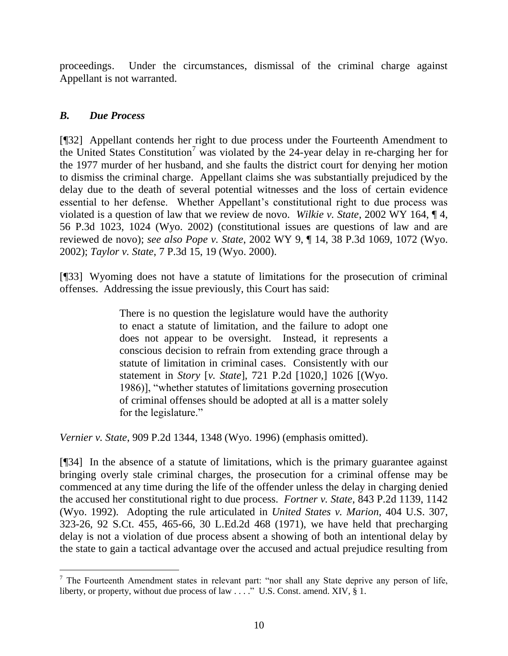proceedings. Under the circumstances, dismissal of the criminal charge against Appellant is not warranted.

## *B. Due Process*

[¶32] Appellant contends her right to due process under the Fourteenth Amendment to the United States Constitution<sup>7</sup> was violated by the 24-year delay in re-charging her for the 1977 murder of her husband, and she faults the district court for denying her motion to dismiss the criminal charge. Appellant claims she was substantially prejudiced by the delay due to the death of several potential witnesses and the loss of certain evidence essential to her defense. Whether Appellant's constitutional right to due process was violated is a question of law that we review de novo. *Wilkie v. State*, 2002 WY 164, ¶ 4, 56 P.3d 1023, 1024 (Wyo. 2002) (constitutional issues are questions of law and are reviewed de novo); *see also Pope v. State*, 2002 WY 9, ¶ 14, 38 P.3d 1069, 1072 (Wyo. 2002); *Taylor v. State*, 7 P.3d 15, 19 (Wyo. 2000).

[¶33] Wyoming does not have a statute of limitations for the prosecution of criminal offenses. Addressing the issue previously, this Court has said:

> There is no question the legislature would have the authority to enact a statute of limitation, and the failure to adopt one does not appear to be oversight. Instead, it represents a conscious decision to refrain from extending grace through a statute of limitation in criminal cases. Consistently with our statement in *Story* [*v. State*], 721 P.2d [1020,] 1026 [(Wyo. 1986)], "whether statutes of limitations governing prosecution of criminal offenses should be adopted at all is a matter solely for the legislature."

*Vernier v. State*, 909 P.2d 1344, 1348 (Wyo. 1996) (emphasis omitted).

[¶34] In the absence of a statute of limitations, which is the primary guarantee against bringing overly stale criminal charges, the prosecution for a criminal offense may be commenced at any time during the life of the offender unless the delay in charging denied the accused her constitutional right to due process. *Fortner v. State*, 843 P.2d 1139, 1142 (Wyo. 1992). Adopting the rule articulated in *United States v. Marion*, 404 U.S. 307, 323-26, 92 S.Ct. 455, 465-66, 30 L.Ed.2d 468 (1971), we have held that precharging delay is not a violation of due process absent a showing of both an intentional delay by the state to gain a tactical advantage over the accused and actual prejudice resulting from

 $\overline{a}$ <sup>7</sup> The Fourteenth Amendment states in relevant part: "nor shall any State deprive any person of life, liberty, or property, without due process of law . . . ." U.S. Const. amend. XIV, § 1.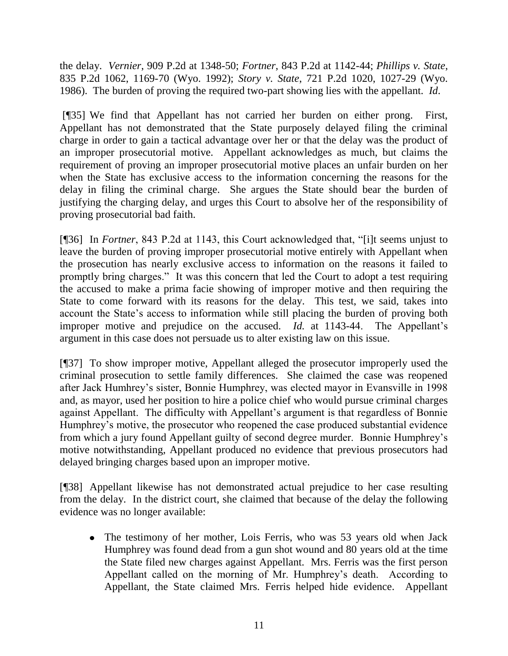the delay. *Vernier*, 909 P.2d at 1348-50; *Fortner*, 843 P.2d at 1142-44; *Phillips v. State*, 835 P.2d 1062, 1169-70 (Wyo. 1992); *Story v. State*, 721 P.2d 1020, 1027-29 (Wyo. 1986). The burden of proving the required two-part showing lies with the appellant. *Id*.

[¶35] We find that Appellant has not carried her burden on either prong. First, Appellant has not demonstrated that the State purposely delayed filing the criminal charge in order to gain a tactical advantage over her or that the delay was the product of an improper prosecutorial motive. Appellant acknowledges as much, but claims the requirement of proving an improper prosecutorial motive places an unfair burden on her when the State has exclusive access to the information concerning the reasons for the delay in filing the criminal charge. She argues the State should bear the burden of justifying the charging delay, and urges this Court to absolve her of the responsibility of proving prosecutorial bad faith.

[¶36] In *Fortner*, 843 P.2d at 1143, this Court acknowledged that, "[i]t seems unjust to leave the burden of proving improper prosecutorial motive entirely with Appellant when the prosecution has nearly exclusive access to information on the reasons it failed to promptly bring charges." It was this concern that led the Court to adopt a test requiring the accused to make a prima facie showing of improper motive and then requiring the State to come forward with its reasons for the delay. This test, we said, takes into account the State's access to information while still placing the burden of proving both improper motive and prejudice on the accused. *Id.* at 1143-44. The Appellant's argument in this case does not persuade us to alter existing law on this issue.

[¶37] To show improper motive, Appellant alleged the prosecutor improperly used the criminal prosecution to settle family differences. She claimed the case was reopened after Jack Humhrey"s sister, Bonnie Humphrey, was elected mayor in Evansville in 1998 and, as mayor, used her position to hire a police chief who would pursue criminal charges against Appellant. The difficulty with Appellant's argument is that regardless of Bonnie Humphrey"s motive, the prosecutor who reopened the case produced substantial evidence from which a jury found Appellant guilty of second degree murder. Bonnie Humphrey"s motive notwithstanding, Appellant produced no evidence that previous prosecutors had delayed bringing charges based upon an improper motive.

[¶38] Appellant likewise has not demonstrated actual prejudice to her case resulting from the delay. In the district court, she claimed that because of the delay the following evidence was no longer available:

• The testimony of her mother, Lois Ferris, who was 53 years old when Jack Humphrey was found dead from a gun shot wound and 80 years old at the time the State filed new charges against Appellant. Mrs. Ferris was the first person Appellant called on the morning of Mr. Humphrey's death. According to Appellant, the State claimed Mrs. Ferris helped hide evidence. Appellant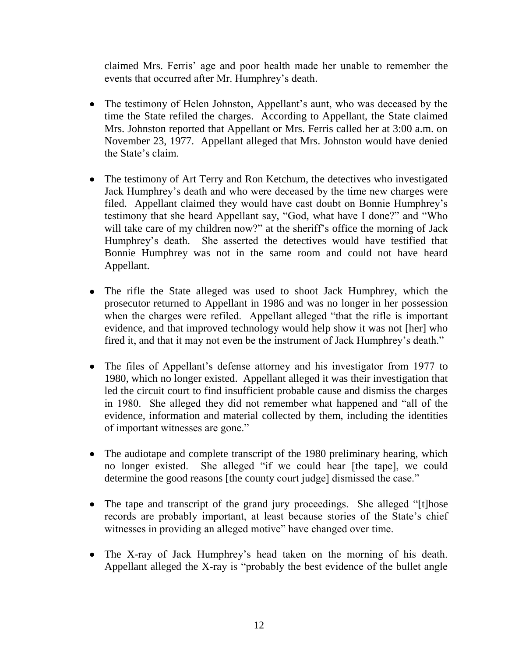claimed Mrs. Ferris" age and poor health made her unable to remember the events that occurred after Mr. Humphrey's death.

- The testimony of Helen Johnston, Appellant's aunt, who was deceased by the time the State refiled the charges. According to Appellant, the State claimed Mrs. Johnston reported that Appellant or Mrs. Ferris called her at 3:00 a.m. on November 23, 1977. Appellant alleged that Mrs. Johnston would have denied the State's claim.
- The testimony of Art Terry and Ron Ketchum, the detectives who investigated Jack Humphrey"s death and who were deceased by the time new charges were filed. Appellant claimed they would have cast doubt on Bonnie Humphrey"s testimony that she heard Appellant say, "God, what have I done?" and "Who will take care of my children now?" at the sheriff's office the morning of Jack Humphrey"s death. She asserted the detectives would have testified that Bonnie Humphrey was not in the same room and could not have heard Appellant.
- The rifle the State alleged was used to shoot Jack Humphrey, which the prosecutor returned to Appellant in 1986 and was no longer in her possession when the charges were refiled. Appellant alleged "that the rifle is important evidence, and that improved technology would help show it was not [her] who fired it, and that it may not even be the instrument of Jack Humphrey"s death."
- The files of Appellant's defense attorney and his investigator from 1977 to 1980, which no longer existed. Appellant alleged it was their investigation that led the circuit court to find insufficient probable cause and dismiss the charges in 1980. She alleged they did not remember what happened and "all of the evidence, information and material collected by them, including the identities of important witnesses are gone."
- The audiotape and complete transcript of the 1980 preliminary hearing, which no longer existed. She alleged "if we could hear [the tape], we could determine the good reasons [the county court judge] dismissed the case."
- The tape and transcript of the grand jury proceedings. She alleged "[t]hose records are probably important, at least because stories of the State's chief witnesses in providing an alleged motive" have changed over time.
- The X-ray of Jack Humphrey's head taken on the morning of his death. Appellant alleged the X-ray is "probably the best evidence of the bullet angle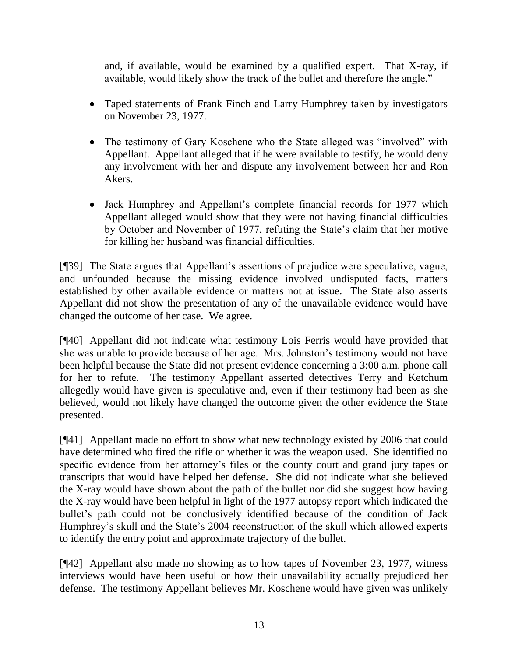and, if available, would be examined by a qualified expert. That X-ray, if available, would likely show the track of the bullet and therefore the angle."

- Taped statements of Frank Finch and Larry Humphrey taken by investigators on November 23, 1977.
- The testimony of Gary Koschene who the State alleged was "involved" with Appellant. Appellant alleged that if he were available to testify, he would deny any involvement with her and dispute any involvement between her and Ron Akers.
- Jack Humphrey and Appellant's complete financial records for 1977 which Appellant alleged would show that they were not having financial difficulties by October and November of 1977, refuting the State"s claim that her motive for killing her husband was financial difficulties.

[¶39] The State argues that Appellant's assertions of prejudice were speculative, vague, and unfounded because the missing evidence involved undisputed facts, matters established by other available evidence or matters not at issue. The State also asserts Appellant did not show the presentation of any of the unavailable evidence would have changed the outcome of her case. We agree.

[¶40] Appellant did not indicate what testimony Lois Ferris would have provided that she was unable to provide because of her age. Mrs. Johnston"s testimony would not have been helpful because the State did not present evidence concerning a 3:00 a.m. phone call for her to refute. The testimony Appellant asserted detectives Terry and Ketchum allegedly would have given is speculative and, even if their testimony had been as she believed, would not likely have changed the outcome given the other evidence the State presented.

[¶41] Appellant made no effort to show what new technology existed by 2006 that could have determined who fired the rifle or whether it was the weapon used. She identified no specific evidence from her attorney's files or the county court and grand jury tapes or transcripts that would have helped her defense. She did not indicate what she believed the X-ray would have shown about the path of the bullet nor did she suggest how having the X-ray would have been helpful in light of the 1977 autopsy report which indicated the bullet"s path could not be conclusively identified because of the condition of Jack Humphrey's skull and the State's 2004 reconstruction of the skull which allowed experts to identify the entry point and approximate trajectory of the bullet.

[¶42] Appellant also made no showing as to how tapes of November 23, 1977, witness interviews would have been useful or how their unavailability actually prejudiced her defense. The testimony Appellant believes Mr. Koschene would have given was unlikely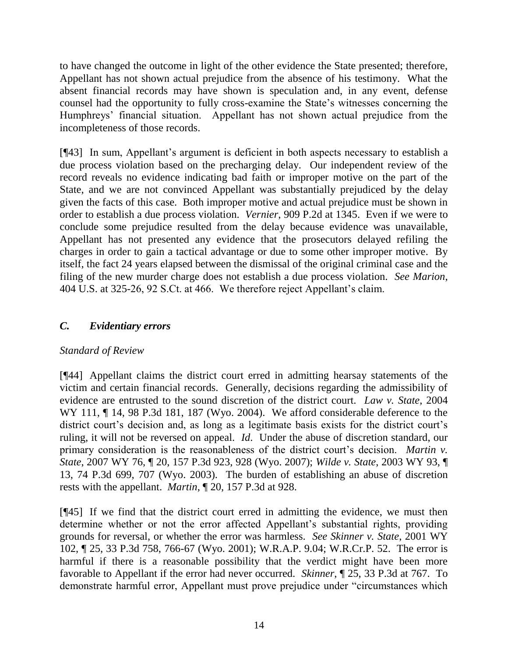to have changed the outcome in light of the other evidence the State presented; therefore, Appellant has not shown actual prejudice from the absence of his testimony. What the absent financial records may have shown is speculation and, in any event, defense counsel had the opportunity to fully cross-examine the State"s witnesses concerning the Humphreys" financial situation. Appellant has not shown actual prejudice from the incompleteness of those records.

[¶43] In sum, Appellant"s argument is deficient in both aspects necessary to establish a due process violation based on the precharging delay. Our independent review of the record reveals no evidence indicating bad faith or improper motive on the part of the State, and we are not convinced Appellant was substantially prejudiced by the delay given the facts of this case. Both improper motive and actual prejudice must be shown in order to establish a due process violation. *Vernier*, 909 P.2d at 1345. Even if we were to conclude some prejudice resulted from the delay because evidence was unavailable, Appellant has not presented any evidence that the prosecutors delayed refiling the charges in order to gain a tactical advantage or due to some other improper motive. By itself, the fact 24 years elapsed between the dismissal of the original criminal case and the filing of the new murder charge does not establish a due process violation. *See Marion*, 404 U.S. at 325-26, 92 S.Ct. at 466. We therefore reject Appellant"s claim.

# *C. Evidentiary errors*

## *Standard of Review*

[¶44] Appellant claims the district court erred in admitting hearsay statements of the victim and certain financial records. Generally, decisions regarding the admissibility of evidence are entrusted to the sound discretion of the district court. *Law v. State*, 2004 WY 111,  $\P$  14, 98 P.3d 181, 187 (Wyo. 2004). We afford considerable deference to the district court's decision and, as long as a legitimate basis exists for the district court's ruling, it will not be reversed on appeal. *Id*. Under the abuse of discretion standard, our primary consideration is the reasonableness of the district court's decision. *Martin v. State*, 2007 WY 76, ¶ 20, 157 P.3d 923, 928 (Wyo. 2007); *Wilde v. State*, 2003 WY 93, ¶ 13, 74 P.3d 699, 707 (Wyo. 2003). The burden of establishing an abuse of discretion rests with the appellant. *Martin*, ¶ 20, 157 P.3d at 928.

[¶45] If we find that the district court erred in admitting the evidence, we must then determine whether or not the error affected Appellant's substantial rights, providing grounds for reversal, or whether the error was harmless. *See Skinner v. State*, 2001 WY 102, ¶ 25, 33 P.3d 758, 766-67 (Wyo. 2001); W.R.A.P. 9.04; W.R.Cr.P. 52. The error is harmful if there is a reasonable possibility that the verdict might have been more favorable to Appellant if the error had never occurred. *Skinner*, ¶ 25, 33 P.3d at 767. To demonstrate harmful error, Appellant must prove prejudice under "circumstances which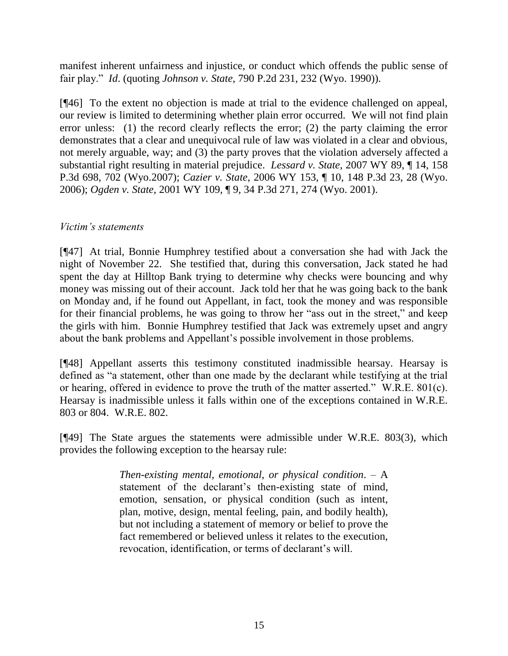manifest inherent unfairness and injustice, or conduct which offends the public sense of fair play." *Id*. (quoting *Johnson v. State*, 790 P.2d 231, 232 (Wyo. 1990)).

[¶46] To the extent no objection is made at trial to the evidence challenged on appeal, our review is limited to determining whether plain error occurred. We will not find plain error unless: (1) the record clearly reflects the error; (2) the party claiming the error demonstrates that a clear and unequivocal rule of law was violated in a clear and obvious, not merely arguable, way; and (3) the party proves that the violation adversely affected a substantial right resulting in material prejudice. *Lessard v. State*, 2007 WY 89, ¶ 14, 158 P.3d 698, 702 (Wyo.2007); *Cazier v. State*, 2006 WY 153, ¶ 10, 148 P.3d 23, 28 (Wyo. 2006); *Ogden v. State*, 2001 WY 109, ¶ 9, 34 P.3d 271, 274 (Wyo. 2001).

### *Victim's statements*

[¶47] At trial, Bonnie Humphrey testified about a conversation she had with Jack the night of November 22. She testified that, during this conversation, Jack stated he had spent the day at Hilltop Bank trying to determine why checks were bouncing and why money was missing out of their account. Jack told her that he was going back to the bank on Monday and, if he found out Appellant, in fact, took the money and was responsible for their financial problems, he was going to throw her "ass out in the street," and keep the girls with him. Bonnie Humphrey testified that Jack was extremely upset and angry about the bank problems and Appellant"s possible involvement in those problems.

[¶48] Appellant asserts this testimony constituted inadmissible hearsay. Hearsay is defined as "a statement, other than one made by the declarant while testifying at the trial or hearing, offered in evidence to prove the truth of the matter asserted." W.R.E. 801(c). Hearsay is inadmissible unless it falls within one of the exceptions contained in W.R.E. 803 or 804. W.R.E. 802.

[¶49] The State argues the statements were admissible under W.R.E. 803(3), which provides the following exception to the hearsay rule:

> *Then-existing mental, emotional, or physical condition*. – A statement of the declarant's then-existing state of mind, emotion, sensation, or physical condition (such as intent, plan, motive, design, mental feeling, pain, and bodily health), but not including a statement of memory or belief to prove the fact remembered or believed unless it relates to the execution, revocation, identification, or terms of declarant's will.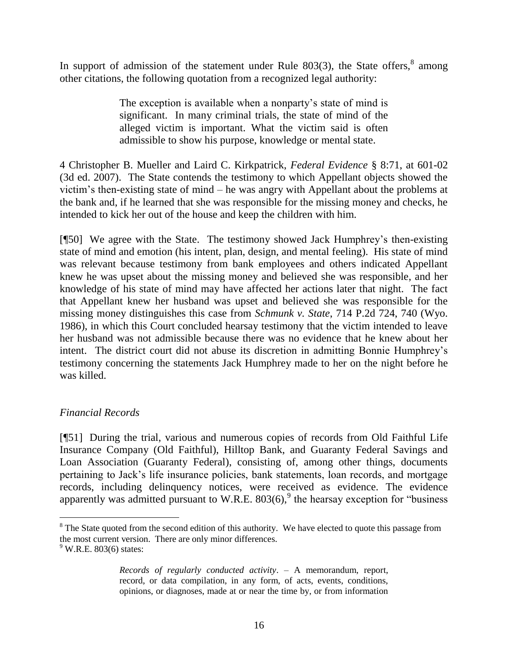In support of admission of the statement under Rule  $803(3)$ , the State offers,  $8$  among other citations, the following quotation from a recognized legal authority:

> The exception is available when a nonparty's state of mind is significant. In many criminal trials, the state of mind of the alleged victim is important. What the victim said is often admissible to show his purpose, knowledge or mental state.

4 Christopher B. Mueller and Laird C. Kirkpatrick, *Federal Evidence* § 8:71, at 601-02 (3d ed. 2007). The State contends the testimony to which Appellant objects showed the victim"s then-existing state of mind – he was angry with Appellant about the problems at the bank and, if he learned that she was responsible for the missing money and checks, he intended to kick her out of the house and keep the children with him.

[¶50] We agree with the State. The testimony showed Jack Humphrey"s then-existing state of mind and emotion (his intent, plan, design, and mental feeling). His state of mind was relevant because testimony from bank employees and others indicated Appellant knew he was upset about the missing money and believed she was responsible, and her knowledge of his state of mind may have affected her actions later that night. The fact that Appellant knew her husband was upset and believed she was responsible for the missing money distinguishes this case from *Schmunk v. State*, 714 P.2d 724, 740 (Wyo. 1986), in which this Court concluded hearsay testimony that the victim intended to leave her husband was not admissible because there was no evidence that he knew about her intent. The district court did not abuse its discretion in admitting Bonnie Humphrey"s testimony concerning the statements Jack Humphrey made to her on the night before he was killed.

## *Financial Records*

[¶51] During the trial, various and numerous copies of records from Old Faithful Life Insurance Company (Old Faithful), Hilltop Bank, and Guaranty Federal Savings and Loan Association (Guaranty Federal), consisting of, among other things, documents pertaining to Jack"s life insurance policies, bank statements, loan records, and mortgage records, including delinquency notices, were received as evidence. The evidence apparently was admitted pursuant to W.R.E.  $803(6)$ , the hearsay exception for "business"

 $\overline{a}$ 

<sup>&</sup>lt;sup>8</sup> The State quoted from the second edition of this authority. We have elected to quote this passage from the most current version. There are only minor differences.

 $9$  W.R.E. 803(6) states:

*Records of regularly conducted activity*. – A memorandum, report, record, or data compilation, in any form, of acts, events, conditions, opinions, or diagnoses, made at or near the time by, or from information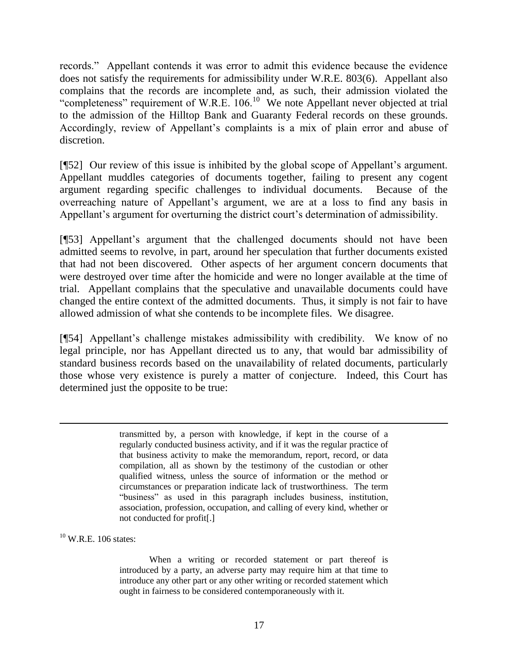records." Appellant contends it was error to admit this evidence because the evidence does not satisfy the requirements for admissibility under W.R.E. 803(6). Appellant also complains that the records are incomplete and, as such, their admission violated the "completeness" requirement of W.R.E.  $106$ <sup>10</sup> We note Appellant never objected at trial to the admission of the Hilltop Bank and Guaranty Federal records on these grounds. Accordingly, review of Appellant's complaints is a mix of plain error and abuse of discretion.

[¶52] Our review of this issue is inhibited by the global scope of Appellant"s argument. Appellant muddles categories of documents together, failing to present any cogent argument regarding specific challenges to individual documents. Because of the overreaching nature of Appellant"s argument, we are at a loss to find any basis in Appellant's argument for overturning the district court's determination of admissibility.

[¶53] Appellant"s argument that the challenged documents should not have been admitted seems to revolve, in part, around her speculation that further documents existed that had not been discovered. Other aspects of her argument concern documents that were destroyed over time after the homicide and were no longer available at the time of trial. Appellant complains that the speculative and unavailable documents could have changed the entire context of the admitted documents. Thus, it simply is not fair to have allowed admission of what she contends to be incomplete files. We disagree.

[¶54] Appellant"s challenge mistakes admissibility with credibility. We know of no legal principle, nor has Appellant directed us to any, that would bar admissibility of standard business records based on the unavailability of related documents, particularly those whose very existence is purely a matter of conjecture. Indeed, this Court has determined just the opposite to be true:

> transmitted by, a person with knowledge, if kept in the course of a regularly conducted business activity, and if it was the regular practice of that business activity to make the memorandum, report, record, or data compilation, all as shown by the testimony of the custodian or other qualified witness, unless the source of information or the method or circumstances or preparation indicate lack of trustworthiness. The term "business" as used in this paragraph includes business, institution, association, profession, occupation, and calling of every kind, whether or not conducted for profit[.]

 $10$  W.R.E. 106 states:

 $\overline{a}$ 

When a writing or recorded statement or part thereof is introduced by a party, an adverse party may require him at that time to introduce any other part or any other writing or recorded statement which ought in fairness to be considered contemporaneously with it.